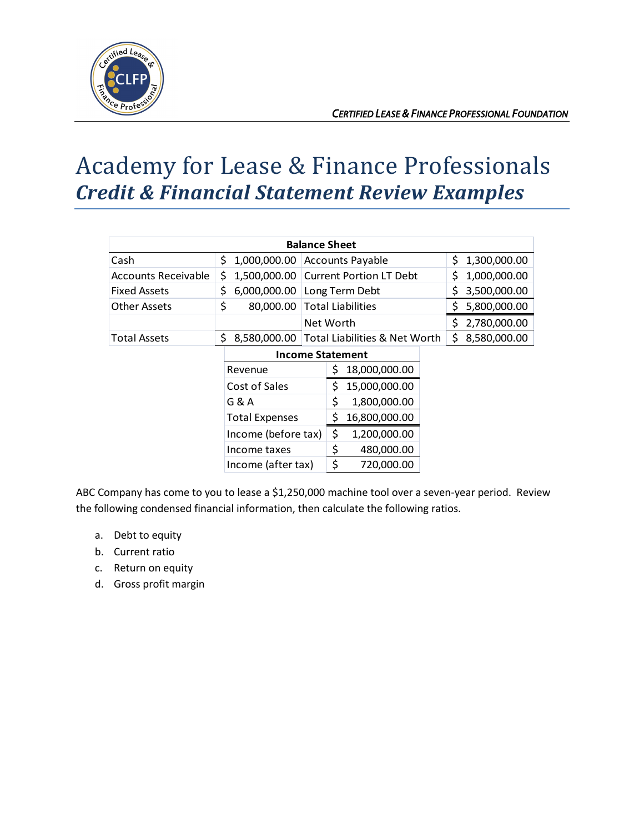

## Academy for Lease & Finance Professionals *Credit & Financial Statement Review Examples*

| <b>Balance Sheet</b> |                         |                                            |                     |
|----------------------|-------------------------|--------------------------------------------|---------------------|
| Cash                 | \$<br>1,000,000.00      | <b>Accounts Payable</b>                    | 1,300,000.00<br>Ś.  |
| Accounts Receivable  | \$<br>1,500,000.00      | <b>Current Portion LT Debt</b>             | 1,000,000.00<br>Ś.  |
| <b>Fixed Assets</b>  | \$<br>6,000,000.00      | Long Term Debt                             | 3,500,000.00<br>\$  |
| <b>Other Assets</b>  | \$<br>80,000.00         | <b>Total Liabilities</b>                   | \$.<br>5,800,000.00 |
|                      |                         | Net Worth                                  | \$.<br>2,780,000.00 |
| <b>Total Assets</b>  | \$                      | 8,580,000.00 Total Liabilities & Net Worth | \$<br>8,580,000.00  |
|                      | <b>Income Statement</b> |                                            |                     |
|                      | Revenue                 | 18,000,000.00<br>\$                        |                     |
|                      | Cost of Sales           | \$<br>15,000,000.00                        |                     |
|                      | G & A                   | \$<br>1,800,000.00                         |                     |
|                      | <b>Total Expenses</b>   | \$<br>16,800,000.00                        |                     |
|                      | Income (before tax)     | \$<br>1,200,000.00                         |                     |
|                      | Income taxes            | \$<br>480,000.00                           |                     |
|                      | Income (after tax)      | \$<br>720.000.00                           |                     |

ABC Company has come to you to lease a \$1,250,000 machine tool over a seven-year period. Review the following condensed financial information, then calculate the following ratios.

- a. Debt to equity
- b. Current ratio
- c. Return on equity
- d. Gross profit margin